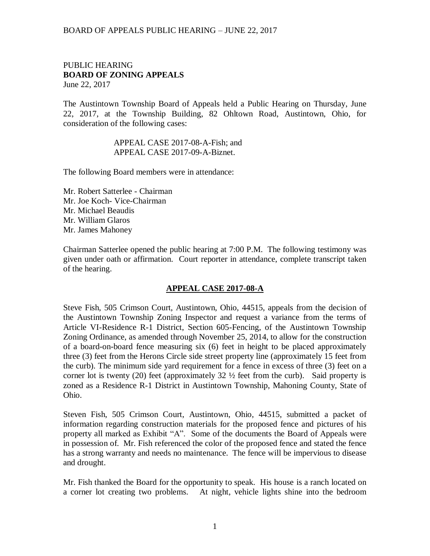### PUBLIC HEARING **BOARD OF ZONING APPEALS**  June 22, 2017

The Austintown Township Board of Appeals held a Public Hearing on Thursday, June 22, 2017, at the Township Building, 82 Ohltown Road, Austintown, Ohio, for consideration of the following cases:

### APPEAL CASE 2017-08-A-Fish; and APPEAL CASE 2017-09-A-Biznet.

The following Board members were in attendance:

Mr. Robert Satterlee - Chairman Mr. Joe Koch- Vice-Chairman Mr. Michael Beaudis Mr. William Glaros Mr. James Mahoney

Chairman Satterlee opened the public hearing at 7:00 P.M. The following testimony was given under oath or affirmation. Court reporter in attendance, complete transcript taken of the hearing.

### **APPEAL CASE 2017-08-A**

Steve Fish, 505 Crimson Court, Austintown, Ohio, 44515, appeals from the decision of the Austintown Township Zoning Inspector and request a variance from the terms of Article VI-Residence R-1 District, Section 605-Fencing, of the Austintown Township Zoning Ordinance, as amended through November 25, 2014, to allow for the construction of a board-on-board fence measuring six (6) feet in height to be placed approximately three (3) feet from the Herons Circle side street property line (approximately 15 feet from the curb). The minimum side yard requirement for a fence in excess of three (3) feet on a corner lot is twenty (20) feet (approximately  $32\frac{1}{2}$  feet from the curb). Said property is zoned as a Residence R-1 District in Austintown Township, Mahoning County, State of Ohio.

Steven Fish, 505 Crimson Court, Austintown, Ohio, 44515, submitted a packet of information regarding construction materials for the proposed fence and pictures of his property all marked as Exhibit "A". Some of the documents the Board of Appeals were in possession of. Mr. Fish referenced the color of the proposed fence and stated the fence has a strong warranty and needs no maintenance. The fence will be impervious to disease and drought.

Mr. Fish thanked the Board for the opportunity to speak. His house is a ranch located on a corner lot creating two problems. At night, vehicle lights shine into the bedroom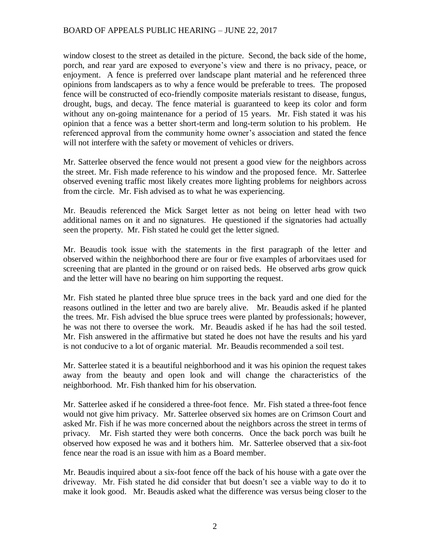window closest to the street as detailed in the picture. Second, the back side of the home, porch, and rear yard are exposed to everyone's view and there is no privacy, peace, or enjoyment. A fence is preferred over landscape plant material and he referenced three opinions from landscapers as to why a fence would be preferable to trees. The proposed fence will be constructed of eco-friendly composite materials resistant to disease, fungus, drought, bugs, and decay. The fence material is guaranteed to keep its color and form without any on-going maintenance for a period of 15 years. Mr. Fish stated it was his opinion that a fence was a better short-term and long-term solution to his problem. He referenced approval from the community home owner's association and stated the fence will not interfere with the safety or movement of vehicles or drivers.

Mr. Satterlee observed the fence would not present a good view for the neighbors across the street. Mr. Fish made reference to his window and the proposed fence. Mr. Satterlee observed evening traffic most likely creates more lighting problems for neighbors across from the circle. Mr. Fish advised as to what he was experiencing.

Mr. Beaudis referenced the Mick Sarget letter as not being on letter head with two additional names on it and no signatures. He questioned if the signatories had actually seen the property. Mr. Fish stated he could get the letter signed.

Mr. Beaudis took issue with the statements in the first paragraph of the letter and observed within the neighborhood there are four or five examples of arborvitaes used for screening that are planted in the ground or on raised beds. He observed arbs grow quick and the letter will have no bearing on him supporting the request.

Mr. Fish stated he planted three blue spruce trees in the back yard and one died for the reasons outlined in the letter and two are barely alive. Mr. Beaudis asked if he planted the trees. Mr. Fish advised the blue spruce trees were planted by professionals; however, he was not there to oversee the work. Mr. Beaudis asked if he has had the soil tested. Mr. Fish answered in the affirmative but stated he does not have the results and his yard is not conducive to a lot of organic material. Mr. Beaudis recommended a soil test.

Mr. Satterlee stated it is a beautiful neighborhood and it was his opinion the request takes away from the beauty and open look and will change the characteristics of the neighborhood. Mr. Fish thanked him for his observation.

Mr. Satterlee asked if he considered a three-foot fence. Mr. Fish stated a three-foot fence would not give him privacy. Mr. Satterlee observed six homes are on Crimson Court and asked Mr. Fish if he was more concerned about the neighbors across the street in terms of privacy. Mr. Fish started they were both concerns. Once the back porch was built he observed how exposed he was and it bothers him. Mr. Satterlee observed that a six-foot fence near the road is an issue with him as a Board member.

Mr. Beaudis inquired about a six-foot fence off the back of his house with a gate over the driveway. Mr. Fish stated he did consider that but doesn't see a viable way to do it to make it look good. Mr. Beaudis asked what the difference was versus being closer to the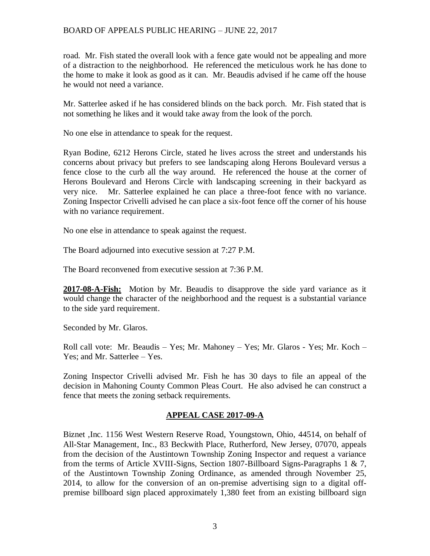road. Mr. Fish stated the overall look with a fence gate would not be appealing and more of a distraction to the neighborhood. He referenced the meticulous work he has done to the home to make it look as good as it can. Mr. Beaudis advised if he came off the house he would not need a variance.

Mr. Satterlee asked if he has considered blinds on the back porch. Mr. Fish stated that is not something he likes and it would take away from the look of the porch.

No one else in attendance to speak for the request.

Ryan Bodine, 6212 Herons Circle, stated he lives across the street and understands his concerns about privacy but prefers to see landscaping along Herons Boulevard versus a fence close to the curb all the way around. He referenced the house at the corner of Herons Boulevard and Herons Circle with landscaping screening in their backyard as very nice. Mr. Satterlee explained he can place a three-foot fence with no variance. Zoning Inspector Crivelli advised he can place a six-foot fence off the corner of his house with no variance requirement.

No one else in attendance to speak against the request.

The Board adjourned into executive session at 7:27 P.M.

The Board reconvened from executive session at 7:36 P.M.

**2017-08-A-Fish:** Motion by Mr. Beaudis to disapprove the side yard variance as it would change the character of the neighborhood and the request is a substantial variance to the side yard requirement.

Seconded by Mr. Glaros.

Roll call vote: Mr. Beaudis – Yes; Mr. Mahoney – Yes; Mr. Glaros - Yes; Mr. Koch – Yes; and Mr. Satterlee – Yes.

Zoning Inspector Crivelli advised Mr. Fish he has 30 days to file an appeal of the decision in Mahoning County Common Pleas Court. He also advised he can construct a fence that meets the zoning setback requirements.

## **APPEAL CASE 2017-09-A**

Biznet ,Inc. 1156 West Western Reserve Road, Youngstown, Ohio, 44514, on behalf of All-Star Management, Inc., 83 Beckwith Place, Rutherford, New Jersey, 07070, appeals from the decision of the Austintown Township Zoning Inspector and request a variance from the terms of Article XVIII-Signs, Section 1807-Billboard Signs-Paragraphs 1 & 7, of the Austintown Township Zoning Ordinance, as amended through November 25, 2014, to allow for the conversion of an on-premise advertising sign to a digital offpremise billboard sign placed approximately 1,380 feet from an existing billboard sign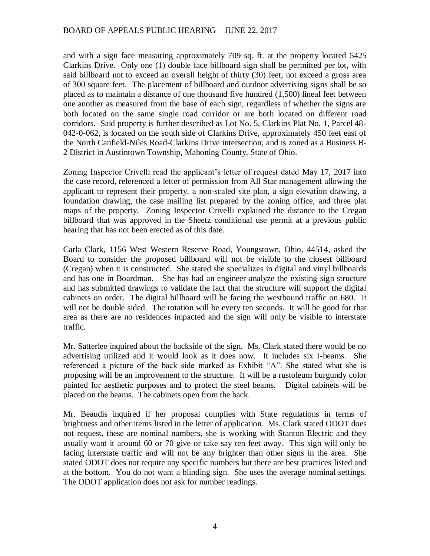and with a sign face measuring approximately 709 sq. ft. at the property located 5425 Clarkins Drive. Only one (1) double face billboard sign shall be permitted per lot, with said billboard not to exceed an overall height of thirty (30) feet, not exceed a gross area of 300 square feet. The placement of billboard and outdoor advertising signs shall be so placed as to maintain a distance of one thousand five hundred (1,500) lineal feet between one another as measured from the base of each sign, regardless of whether the signs are both located on the same single road corridor or are both located on different road corridors. Said property is further described as Lot No. 5, Clarkins Plat No. 1, Parcel 48- 042-0-062, is located on the south side of Clarkins Drive, approximately 450 feet east of the North Canfield-Niles Road-Clarkins Drive intersection; and is zoned as a Business B-2 District in Austintown Township, Mahoning County, State of Ohio.

Zoning Inspector Crivelli read the applicant's letter of request dated May 17, 2017 into the case record, referenced a letter of permission from All Star management allowing the applicant to represent their property, a non-scaled site plan, a sign elevation drawing, a foundation drawing, the case mailing list prepared by the zoning office, and three plat maps of the property. Zoning Inspector Crivelli explained the distance to the Cregan billboard that was approved in the Sheetz conditional use permit at a previous public hearing that has not been erected as of this date.

Carla Clark, 1156 West Western Reserve Road, Youngstown, Ohio, 44514, asked the Board to consider the proposed billboard will not be visible to the closest billboard (Cregan) when it is constructed. She stated she specializes in digital and vinyl billboards and has one in Boardman. She has had an engineer analyze the existing sign structure and has submitted drawings to validate the fact that the structure will support the digital cabinets on order. The digital billboard will be facing the westbound traffic on 680. It will not be double sided. The rotation will be every ten seconds. It will be good for that area as there are no residences impacted and the sign will only be visible to interstate traffic.

Mr. Satterlee inquired about the backside of the sign. Ms. Clark stated there would be no advertising utilized and it would look as it does now. It includes six I-beams. She referenced a picture of the back side marked as Exhibit "A". She stated what she is proposing will be an improvement to the structure. It will be a rustoleum burgundy color painted for aesthetic purposes and to protect the steel beams. Digital cabinets will be placed on the beams. The cabinets open from the back.

Mr. Beaudis inquired if her proposal complies with State regulations in terms of brightness and other items listed in the letter of application. Ms. Clark stated ODOT does not request, these are nominal numbers, she is working with Stanton Electric and they usually want it around 60 or 70 give or take say ten feet away. This sign will only be facing interstate traffic and will not be any brighter than other signs in the area. She stated ODOT does not require any specific numbers but there are best practices listed and at the bottom. You do not want a blinding sign. She uses the average nominal settings. The ODOT application does not ask for number readings.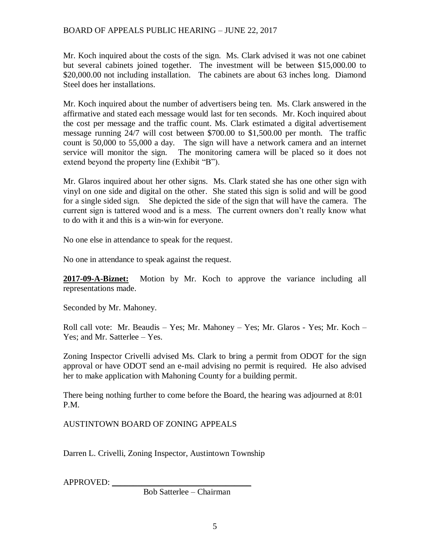Mr. Koch inquired about the costs of the sign. Ms. Clark advised it was not one cabinet but several cabinets joined together. The investment will be between \$15,000.00 to \$20,000.00 not including installation. The cabinets are about 63 inches long. Diamond Steel does her installations.

Mr. Koch inquired about the number of advertisers being ten. Ms. Clark answered in the affirmative and stated each message would last for ten seconds. Mr. Koch inquired about the cost per message and the traffic count. Ms. Clark estimated a digital advertisement message running 24/7 will cost between \$700.00 to \$1,500.00 per month. The traffic count is 50,000 to 55,000 a day. The sign will have a network camera and an internet service will monitor the sign. The monitoring camera will be placed so it does not extend beyond the property line (Exhibit "B").

Mr. Glaros inquired about her other signs. Ms. Clark stated she has one other sign with vinyl on one side and digital on the other. She stated this sign is solid and will be good for a single sided sign. She depicted the side of the sign that will have the camera. The current sign is tattered wood and is a mess. The current owners don't really know what to do with it and this is a win-win for everyone.

No one else in attendance to speak for the request.

No one in attendance to speak against the request.

**2017-09-A-Biznet:** Motion by Mr. Koch to approve the variance including all representations made.

Seconded by Mr. Mahoney.

Roll call vote: Mr. Beaudis – Yes; Mr. Mahoney – Yes; Mr. Glaros - Yes; Mr. Koch – Yes; and Mr. Satterlee – Yes.

Zoning Inspector Crivelli advised Ms. Clark to bring a permit from ODOT for the sign approval or have ODOT send an e-mail advising no permit is required. He also advised her to make application with Mahoning County for a building permit.

There being nothing further to come before the Board, the hearing was adjourned at 8:01 P.M.

AUSTINTOWN BOARD OF ZONING APPEALS

Darren L. Crivelli, Zoning Inspector, Austintown Township

APPROVED:

Bob Satterlee – Chairman